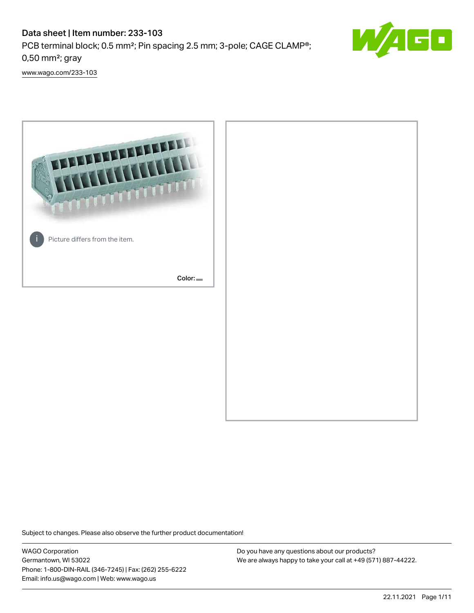## Data sheet | Item number: 233-103 PCB terminal block; 0.5 mm²; Pin spacing 2.5 mm; 3-pole; CAGE CLAMP®; 0,50 mm²; gray



[www.wago.com/233-103](http://www.wago.com/233-103)



Subject to changes. Please also observe the further product documentation!

WAGO Corporation Germantown, WI 53022 Phone: 1-800-DIN-RAIL (346-7245) | Fax: (262) 255-6222 Email: info.us@wago.com | Web: www.wago.us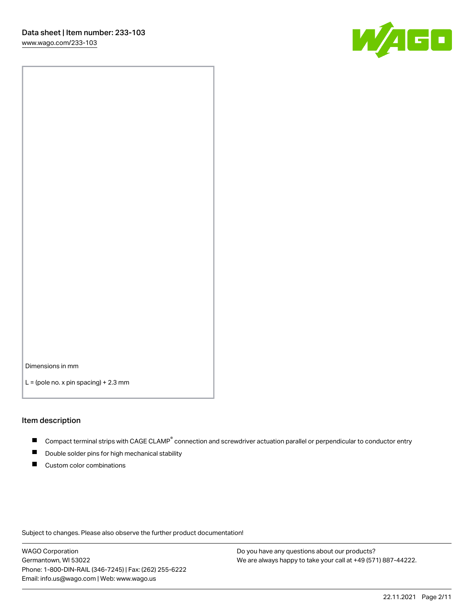

Dimensions in mm

 $L =$  (pole no. x pin spacing) + 2.3 mm

#### Item description

- Compact terminal strips with CAGE CLAMP<sup>®</sup> connection and screwdriver actuation parallel or perpendicular to conductor entry
- Double solder pins for high mechanical stability
- Custom color combinations

Subject to changes. Please also observe the further product documentation!

WAGO Corporation Germantown, WI 53022 Phone: 1-800-DIN-RAIL (346-7245) | Fax: (262) 255-6222 Email: info.us@wago.com | Web: www.wago.us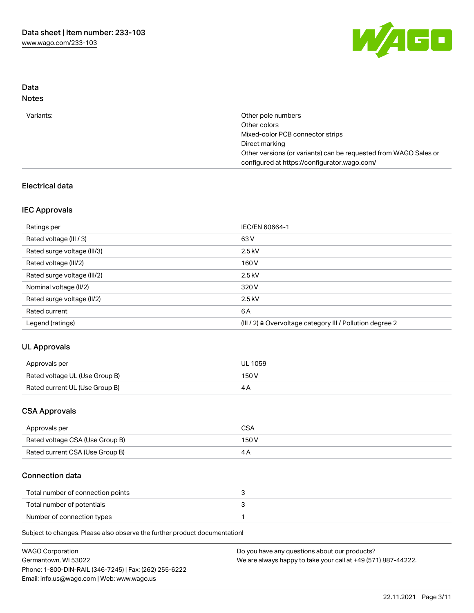

## Data Notes

| Variants: | Other pole numbers                                               |
|-----------|------------------------------------------------------------------|
|           | Other colors                                                     |
|           | Mixed-color PCB connector strips                                 |
|           | Direct marking                                                   |
|           | Other versions (or variants) can be requested from WAGO Sales or |
|           | configured at https://configurator.wago.com/                     |
|           |                                                                  |

## Electrical data

## IEC Approvals

| Ratings per                 | IEC/EN 60664-1                                                        |
|-----------------------------|-----------------------------------------------------------------------|
| Rated voltage (III / 3)     | 63 V                                                                  |
| Rated surge voltage (III/3) | $2.5$ kV                                                              |
| Rated voltage (III/2)       | 160 V                                                                 |
| Rated surge voltage (III/2) | $2.5$ kV                                                              |
| Nominal voltage (II/2)      | 320 V                                                                 |
| Rated surge voltage (II/2)  | $2.5$ kV                                                              |
| Rated current               | 6 A                                                                   |
| Legend (ratings)            | $(III / 2)$ $\triangle$ Overvoltage category III / Pollution degree 2 |

## UL Approvals

| Approvals per                  | UL 1059 |
|--------------------------------|---------|
| Rated voltage UL (Use Group B) | 150 V   |
| Rated current UL (Use Group B) |         |

## CSA Approvals

| Approvals per                   | CSA   |
|---------------------------------|-------|
| Rated voltage CSA (Use Group B) | 150 V |
| Rated current CSA (Use Group B) |       |

## Connection data

| Total number of connection points |  |
|-----------------------------------|--|
| Total number of potentials        |  |
| Number of connection types        |  |

Subject to changes. Please also observe the further product documentation!

| <b>WAGO Corporation</b>                                | Do you have any questions about our products?                 |
|--------------------------------------------------------|---------------------------------------------------------------|
| Germantown, WI 53022                                   | We are always happy to take your call at +49 (571) 887-44222. |
| Phone: 1-800-DIN-RAIL (346-7245)   Fax: (262) 255-6222 |                                                               |
| Email: info.us@wago.com   Web: www.wago.us             |                                                               |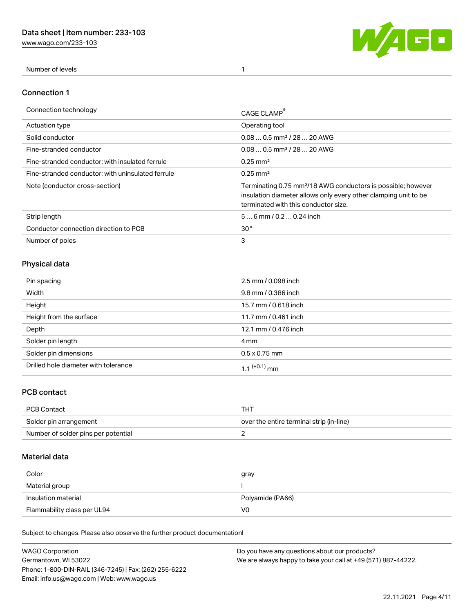[www.wago.com/233-103](http://www.wago.com/233-103)



Number of levels 1

#### Connection 1

| Connection technology                             | CAGE CLAMP                                                                                                                                                                          |
|---------------------------------------------------|-------------------------------------------------------------------------------------------------------------------------------------------------------------------------------------|
| <b>Actuation type</b>                             | Operating tool                                                                                                                                                                      |
| Solid conductor                                   | $0.080.5$ mm <sup>2</sup> / 28  20 AWG                                                                                                                                              |
| Fine-stranded conductor                           | $0.080.5$ mm <sup>2</sup> / 28  20 AWG                                                                                                                                              |
| Fine-stranded conductor; with insulated ferrule   | $0.25 \text{ mm}^2$                                                                                                                                                                 |
| Fine-stranded conductor: with uninsulated ferrule | $0.25 \text{ mm}^2$                                                                                                                                                                 |
| Note (conductor cross-section)                    | Terminating 0.75 mm <sup>2</sup> /18 AWG conductors is possible; however<br>insulation diameter allows only every other clamping unit to be<br>terminated with this conductor size. |
| Strip length                                      | $56$ mm $/ 0.20.24$ inch                                                                                                                                                            |
| Conductor connection direction to PCB             | 30 <sup>°</sup>                                                                                                                                                                     |
| Number of poles                                   | 3                                                                                                                                                                                   |

## Physical data

| Pin spacing                          | 2.5 mm / 0.098 inch  |
|--------------------------------------|----------------------|
| Width                                | 9.8 mm / 0.386 inch  |
| Height                               | 15.7 mm / 0.618 inch |
| Height from the surface              | 11.7 mm / 0.461 inch |
| Depth                                | 12.1 mm / 0.476 inch |
| Solder pin length                    | 4 mm                 |
| Solder pin dimensions                | $0.5 \times 0.75$ mm |
| Drilled hole diameter with tolerance | 1 1 $(+0.1)$ mm      |

## PCB contact

| PCB Contact                         | THT                                      |
|-------------------------------------|------------------------------------------|
| Solder pin arrangement              | over the entire terminal strip (in-line) |
| Number of solder pins per potential |                                          |

## Material data

| Color                       | gray             |
|-----------------------------|------------------|
| Material group              |                  |
| Insulation material         | Polyamide (PA66) |
| Flammability class per UL94 | V0               |

Subject to changes. Please also observe the further product documentation!

| <b>WAGO Corporation</b>                                | Do you have any questions about our products?                 |
|--------------------------------------------------------|---------------------------------------------------------------|
| Germantown, WI 53022                                   | We are always happy to take your call at +49 (571) 887-44222. |
| Phone: 1-800-DIN-RAIL (346-7245)   Fax: (262) 255-6222 |                                                               |
| Email: info.us@wago.com   Web: www.wago.us             |                                                               |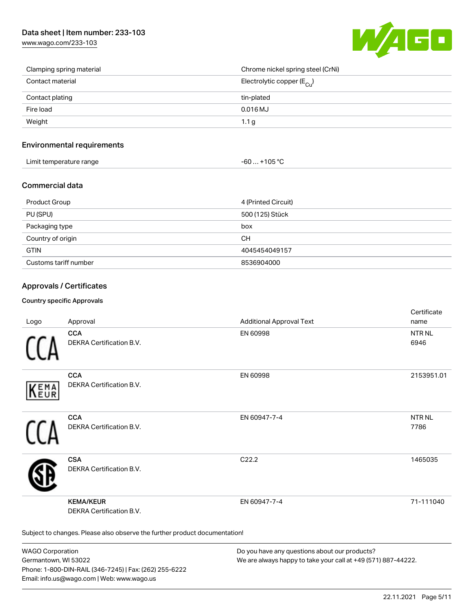[www.wago.com/233-103](http://www.wago.com/233-103)



| Clamping spring material | Chrome nickel spring steel (CrNi)     |
|--------------------------|---------------------------------------|
| Contact material         | Electrolytic copper $(E_{\text{Cl}})$ |
| Contact plating          | tin-plated                            |
| Fire load                | $0.016$ MJ                            |
| Weight                   | 1.1 <sub>g</sub>                      |

#### Environmental requirements

| Limit temperature range<br>. . | 105.00<br>юs<br>UU<br>. . |  |
|--------------------------------|---------------------------|--|
|--------------------------------|---------------------------|--|

## Commercial data

| Product Group         | 4 (Printed Circuit) |
|-----------------------|---------------------|
| PU (SPU)              | 500 (125) Stück     |
| Packaging type        | box                 |
| Country of origin     | CН                  |
| <b>GTIN</b>           | 4045454049157       |
| Customs tariff number | 8536904000          |

## Approvals / Certificates

#### Country specific Approvals

| Logo       | Approval                                                                   | <b>Additional Approval Text</b> | Certificate<br>name       |
|------------|----------------------------------------------------------------------------|---------------------------------|---------------------------|
|            | <b>CCA</b><br>DEKRA Certification B.V.                                     | EN 60998                        | NTR <sub>NL</sub><br>6946 |
| EMA<br>EUR | <b>CCA</b><br>DEKRA Certification B.V.                                     | EN 60998                        | 2153951.01                |
|            | <b>CCA</b><br>DEKRA Certification B.V.                                     | EN 60947-7-4                    | NTR NL<br>7786            |
|            | <b>CSA</b><br>DEKRA Certification B.V.                                     | C22.2                           | 1465035                   |
|            | <b>KEMA/KEUR</b><br>DEKRA Certification B.V.                               | EN 60947-7-4                    | 71-111040                 |
|            | Subject to changes. Please also observe the further product documentation! |                                 |                           |

WAGO Corporation Germantown, WI 53022 Phone: 1-800-DIN-RAIL (346-7245) | Fax: (262) 255-6222 Email: info.us@wago.com | Web: www.wago.us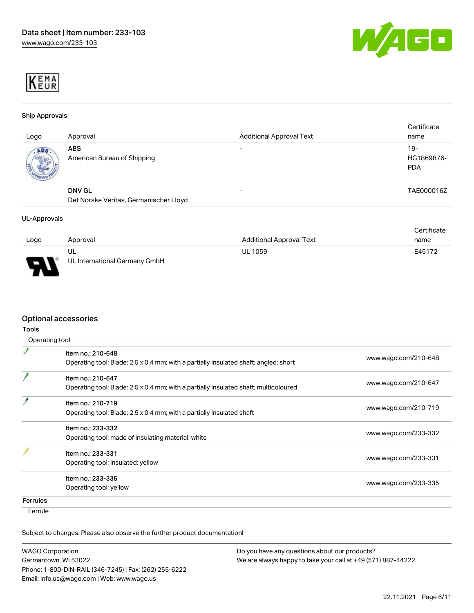



#### Ship Approvals

| Logo | Approval                                                | <b>Additional Approval Text</b> | Certificate<br>name               |
|------|---------------------------------------------------------|---------------------------------|-----------------------------------|
| ABS  | <b>ABS</b><br>American Bureau of Shipping               |                                 | $19-$<br>HG1869876-<br><b>PDA</b> |
|      | <b>DNV GL</b><br>Det Norske Veritas, Germanischer Lloyd | -                               | TAE000016Z                        |

#### UL-Approvals

|                          |                                     |                                 | Certificate |
|--------------------------|-------------------------------------|---------------------------------|-------------|
| Logo                     | Approval                            | <b>Additional Approval Text</b> | name        |
| $\overline{\phantom{0}}$ | UL<br>UL International Germany GmbH | <b>UL 1059</b>                  | E45172      |

## Optional accessories

| ×<br>۰.<br>v.<br>v<br>۰.<br>× |
|-------------------------------|
|-------------------------------|

|                 | Operating tool                                                                                            |                      |
|-----------------|-----------------------------------------------------------------------------------------------------------|----------------------|
|                 | Item no.: 210-648<br>Operating tool; Blade: 2.5 x 0.4 mm; with a partially insulated shaft; angled; short | www.wago.com/210-648 |
|                 | Item no.: 210-647<br>Operating tool; Blade: 2.5 x 0.4 mm; with a partially insulated shaft; multicoloured | www.wago.com/210-647 |
|                 | Item no.: 210-719<br>Operating tool; Blade: 2.5 x 0.4 mm; with a partially insulated shaft                | www.wago.com/210-719 |
|                 | Item no.: 233-332<br>Operating tool; made of insulating material; white                                   | www.wago.com/233-332 |
|                 | Item no.: 233-331<br>Operating tool; insulated; yellow                                                    | www.wago.com/233-331 |
|                 | Item no.: 233-335<br>Operating tool; yellow                                                               | www.wago.com/233-335 |
| <b>Ferrules</b> |                                                                                                           |                      |
| Ferrule         |                                                                                                           |                      |

Subject to changes. Please also observe the further product documentation!

| <b>WAGO Corporation</b>                                |  |
|--------------------------------------------------------|--|
| Germantown, WI 53022                                   |  |
| Phone: 1-800-DIN-RAIL (346-7245)   Fax: (262) 255-6222 |  |
| Email: info.us@wago.com   Web: www.wago.us             |  |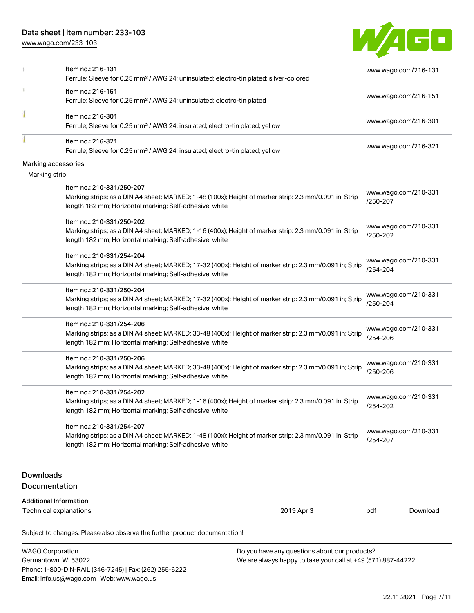## Data sheet | Item number: 233-103

Email: info.us@wago.com | Web: www.wago.us

[www.wago.com/233-103](http://www.wago.com/233-103)



|                  | Item no.: 216-131<br>Ferrule; Sleeve for 0.25 mm <sup>2</sup> / AWG 24; uninsulated; electro-tin plated; silver-colored                                                                         |                                                                                                                |                                  | www.wago.com/216-131 |
|------------------|-------------------------------------------------------------------------------------------------------------------------------------------------------------------------------------------------|----------------------------------------------------------------------------------------------------------------|----------------------------------|----------------------|
|                  | Item no.: 216-151<br>Ferrule; Sleeve for 0.25 mm <sup>2</sup> / AWG 24; uninsulated; electro-tin plated                                                                                         |                                                                                                                |                                  | www.wago.com/216-151 |
|                  | Item no.: 216-301<br>Ferrule; Sleeve for 0.25 mm <sup>2</sup> / AWG 24; insulated; electro-tin plated; yellow                                                                                   |                                                                                                                |                                  | www.wago.com/216-301 |
|                  | Item no.: 216-321<br>Ferrule; Sleeve for 0.25 mm <sup>2</sup> / AWG 24; insulated; electro-tin plated; yellow                                                                                   |                                                                                                                |                                  | www.wago.com/216-321 |
|                  | Marking accessories                                                                                                                                                                             |                                                                                                                |                                  |                      |
| Marking strip    |                                                                                                                                                                                                 |                                                                                                                |                                  |                      |
|                  | Item no.: 210-331/250-207<br>Marking strips; as a DIN A4 sheet; MARKED; 1-48 (100x); Height of marker strip: 2.3 mm/0.091 in; Strip<br>length 182 mm; Horizontal marking; Self-adhesive; white  |                                                                                                                | /250-207                         | www.wago.com/210-331 |
|                  | Item no.: 210-331/250-202<br>Marking strips; as a DIN A4 sheet; MARKED; 1-16 (400x); Height of marker strip: 2.3 mm/0.091 in; Strip<br>length 182 mm; Horizontal marking; Self-adhesive; white  |                                                                                                                | /250-202                         | www.wago.com/210-331 |
|                  | Item no.: 210-331/254-204<br>Marking strips; as a DIN A4 sheet; MARKED; 17-32 (400x); Height of marker strip: 2.3 mm/0.091 in; Strip<br>length 182 mm; Horizontal marking; Self-adhesive; white |                                                                                                                | /254-204                         | www.wago.com/210-331 |
|                  | Item no.: 210-331/250-204<br>Marking strips; as a DIN A4 sheet; MARKED; 17-32 (400x); Height of marker strip: 2.3 mm/0.091 in; Strip<br>length 182 mm; Horizontal marking; Self-adhesive; white |                                                                                                                | /250-204                         | www.wago.com/210-331 |
|                  | Item no.: 210-331/254-206<br>Marking strips; as a DIN A4 sheet; MARKED; 33-48 (400x); Height of marker strip: 2.3 mm/0.091 in; Strip<br>length 182 mm; Horizontal marking; Self-adhesive; white |                                                                                                                | www.wago.com/210-331<br>/254-206 |                      |
|                  | Item no.: 210-331/250-206<br>Marking strips; as a DIN A4 sheet; MARKED; 33-48 (400x); Height of marker strip: 2.3 mm/0.091 in; Strip<br>length 182 mm; Horizontal marking; Self-adhesive; white |                                                                                                                | /250-206                         | www.wago.com/210-331 |
|                  | Item no.: 210-331/254-202<br>Marking strips; as a DIN A4 sheet; MARKED; 1-16 (400x); Height of marker strip: 2.3 mm/0.091 in; Strip<br>length 182 mm; Horizontal marking; Self-adhesive; white  |                                                                                                                | www.wago.com/210-331<br>/254-202 |                      |
|                  | Item no.: 210-331/254-207<br>Marking strips; as a DIN A4 sheet; MARKED; 1-48 (100x); Height of marker strip: 2.3 mm/0.091 in; Strip<br>length 182 mm; Horizontal marking; Self-adhesive; white  |                                                                                                                | /254-207                         | www.wago.com/210-331 |
| <b>Downloads</b> | Documentation                                                                                                                                                                                   |                                                                                                                |                                  |                      |
|                  | <b>Additional Information</b><br>Technical explanations                                                                                                                                         | 2019 Apr 3                                                                                                     | pdf                              | Download             |
|                  | Subject to changes. Please also observe the further product documentation!                                                                                                                      |                                                                                                                |                                  |                      |
|                  | <b>WAGO Corporation</b><br>Germantown, WI 53022<br>Phone: 1-800-DIN-RAIL (346-7245)   Fax: (262) 255-6222                                                                                       | Do you have any questions about our products?<br>We are always happy to take your call at +49 (571) 887-44222. |                                  |                      |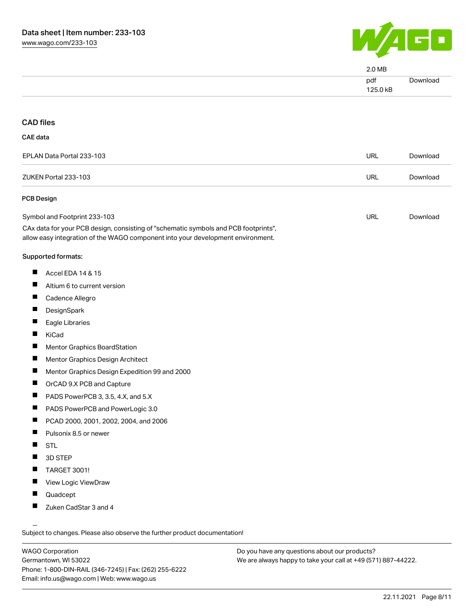

| $2.0\,\mathrm{MB}$ |          |
|--------------------|----------|
| pdf<br>125.0 kB    | Download |
|                    |          |

#### CAD files

#### CAE data

| EPLAN Data Portal 233-103 | URL | Download |
|---------------------------|-----|----------|
| ZUKEN Portal 233-103      | URL | Download |

#### PCB Design

| Symbol and Footprint 233-103                                                        | URL | Download |
|-------------------------------------------------------------------------------------|-----|----------|
| CAx data for your PCB design, consisting of "schematic symbols and PCB footprints", |     |          |

allow easy integration of the WAGO component into your development environment.

#### Supported formats:

- $\blacksquare$ Accel EDA 14 & 15
- $\blacksquare$ Altium 6 to current version
- $\blacksquare$ Cadence Allegro
- $\blacksquare$ DesignSpark
- $\blacksquare$ Eagle Libraries
- $\blacksquare$ KiCad
- $\blacksquare$ Mentor Graphics BoardStation
- $\blacksquare$ Mentor Graphics Design Architect
- $\blacksquare$ Mentor Graphics Design Expedition 99 and 2000
- $\blacksquare$ OrCAD 9.X PCB and Capture
- $\blacksquare$ PADS PowerPCB 3, 3.5, 4.X, and 5.X
- $\blacksquare$ PADS PowerPCB and PowerLogic 3.0
- $\blacksquare$ PCAD 2000, 2001, 2002, 2004, and 2006
- $\blacksquare$ Pulsonix 8.5 or newer
- $\blacksquare$ **STL**
- $\blacksquare$ 3D STEP
- $\blacksquare$ TARGET 3001!
- П View Logic ViewDraw
- $\blacksquare$ Quadcept
- $\blacksquare$ Zuken CadStar 3 and 4

Subject to changes. Please also observe the further product documentation!

WAGO Corporation Germantown, WI 53022 Phone: 1-800-DIN-RAIL (346-7245) | Fax: (262) 255-6222 Email: info.us@wago.com | Web: www.wago.us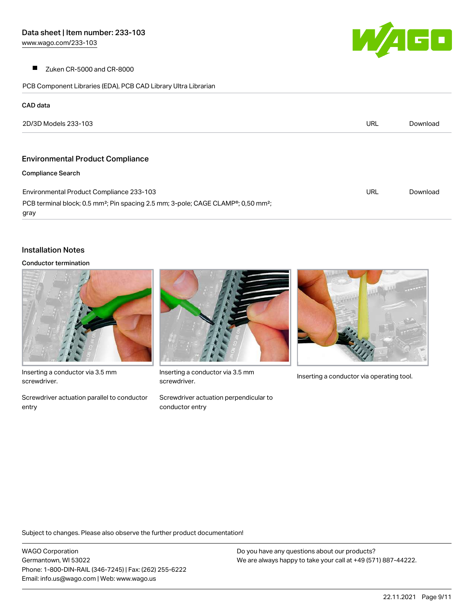$\blacksquare$ Zuken CR-5000 and CR-8000

PCB Component Libraries (EDA), PCB CAD Library Ultra Librarian

| <b>Service Service</b> |  |
|------------------------|--|
|                        |  |
|                        |  |

# 2D/3D Models 233-103 URL [Download](https://www.wago.com/global/d/3D_URLS_233-103) Environmental Product Compliance Compliance Search Environmental Product Compliance 233-103 URL [Download](https://www.wago.com/global/d/ComplianceLinkMediaContainer_233-103)

PCB terminal block; 0.5 mm²; Pin spacing 2.5 mm; 3-pole; CAGE CLAMP®; 0,50 mm²; gray

#### Installation Notes

CAD data

#### Conductor termination



Inserting a conductor via 3.5 mm screwdriver.

Screwdriver actuation parallel to conductor entry



Inserting a conductor via 3.5 mm<br>Inserting a conductor via operating tool. screwdriver.

Screwdriver actuation perpendicular to conductor entry



Subject to changes. Please also observe the further product documentation!

WAGO Corporation Germantown, WI 53022 Phone: 1-800-DIN-RAIL (346-7245) | Fax: (262) 255-6222 Email: info.us@wago.com | Web: www.wago.us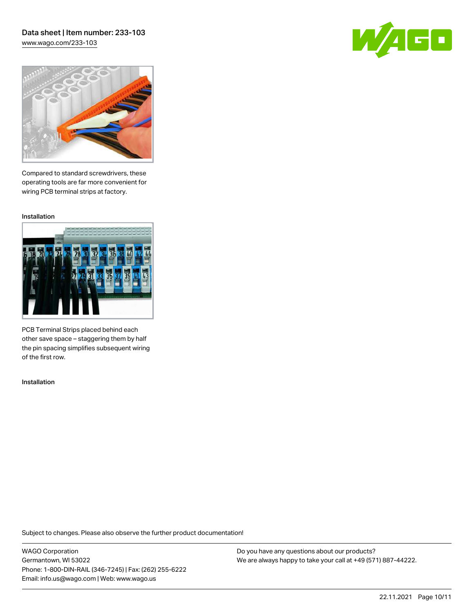## Data sheet | Item number: 233-103 [www.wago.com/233-103](http://www.wago.com/233-103)

60



Compared to standard screwdrivers, these operating tools are far more convenient for wiring PCB terminal strips at factory.

Installation



PCB Terminal Strips placed behind each other save space – staggering them by half the pin spacing simplifies subsequent wiring of the first row.

Installation

Subject to changes. Please also observe the further product documentation!

WAGO Corporation Germantown, WI 53022 Phone: 1-800-DIN-RAIL (346-7245) | Fax: (262) 255-6222 Email: info.us@wago.com | Web: www.wago.us